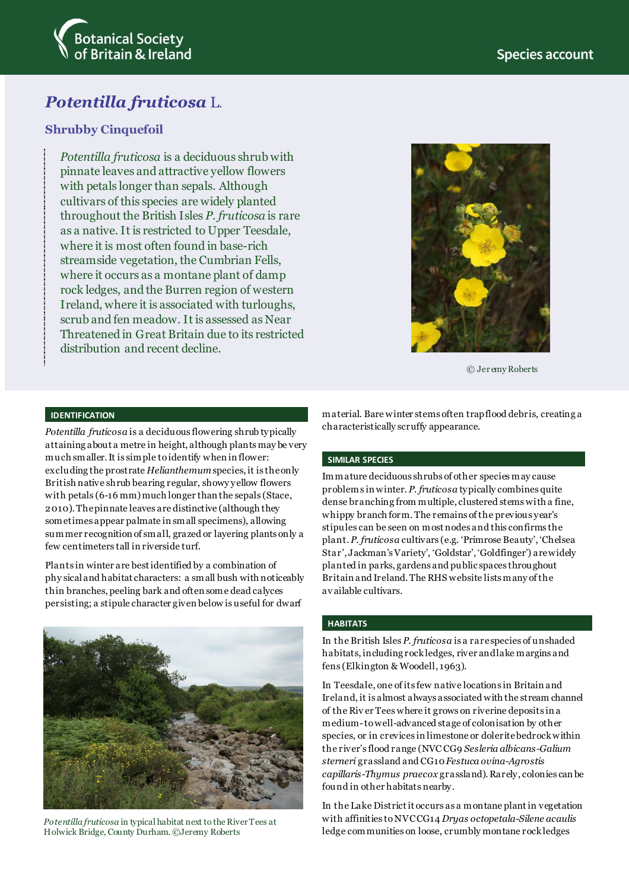

# *Potentilla fruticosa* L.

### **Shrubby Cinquefoil**

*Potentilla fruticosa* is a deciduous shrub with pinnate leaves and attractive yellow flowers with petals longer than sepals. Although cultivars of this species are widely planted throughout the British Isles *P. fruticosa* is rare as a native. It is restricted to Upper Teesdale, where it is most often found in base-rich streamside vegetation, the Cumbrian Fells, where it occurs as a montane plant of damp rock ledges, and the Burren region of western Ireland, where it is associated with turloughs, scrub and fen meadow. It is assessed as Near Threatened in Great Britain due to its restricted distribution and recent decline.



© Jer emy Roberts

#### **IDENTIFICATION**

*Potentilla fruticosa* is a deciduous flowering shrub typically attaining about a metre in height, although plants may be very much smaller. It is simple to identify when in flower: excluding the prostrate *Helianthemum* species, it is the only British native shrub bearing regular, showy yellow flowers with petals (6-16 mm) much longer than the sepals (Stace, 2010). The pinnate leaves are distinctive (although they sometimes appear palmate in small specimens), allowing summer recognition of small, grazed or layering plants only a few centimeters tall in riverside turf.

Plants in winter are best identified by a combination of phy sical and habitat characters: a small bush with noticeably thin branches, peeling bark and often some dead calyces persisting; a stipule character given below is useful for dwarf



*Potentilla fruticosa* in typical habitat next to the River Tees at Holwick Bridge, County Durham. ©Jeremy Roberts

material. Bare winter stems often trap flood debris, creating a characteristically scruffy appearance.

#### **SIMILAR SPECIES**

Immature deciduous shrubs of other species may cause problems in winter. *P. fruticosa* typically combines quite dense branching from multiple, clustered stems with a fine, whippy branch form. The remains of the previous year's stipules can be seen on most nodes and this confirms the plant. *P. fruticosa* cultivars (e.g. 'Primrose Beauty', 'Chelsea Star', Jackman's Variety', 'Goldstar', 'Goldfinger') are widely planted in parks, gardens and public spaces throughout Britain and Ireland. The RHS website lists many of the av ailable cultivars.

#### **HABITATS**

In the British Isles *P. fruticosa* is a rare species of unshaded habitats, including rock ledges, river and lake margins and fens (Elkington & Woodell, 1963).

In Teesdale, one of its few native locations in Britain and Ireland, it is almost always associated with the stream channel of the Riv er Tees where it grows on riverine deposits in a medium-to well-advanced stage of colonisation by other species, or in crevices in limestone or dolerite bedrock within the river's flood range (NVC CG9 *Sesleria albicans*-*Galium sterneri* grassland and CG10*Festuca ovina*-*Agrostis capillaris*-*Thymus praecox* grassland). Rarely, colonies can be found in other habitats nearby.

In the Lake District it occurs as a montane plant in vegetation with affinities to NVC CG14 *Dryas octopetala*-*Silene acaulis* ledge communities on loose, crumbly montane rock ledges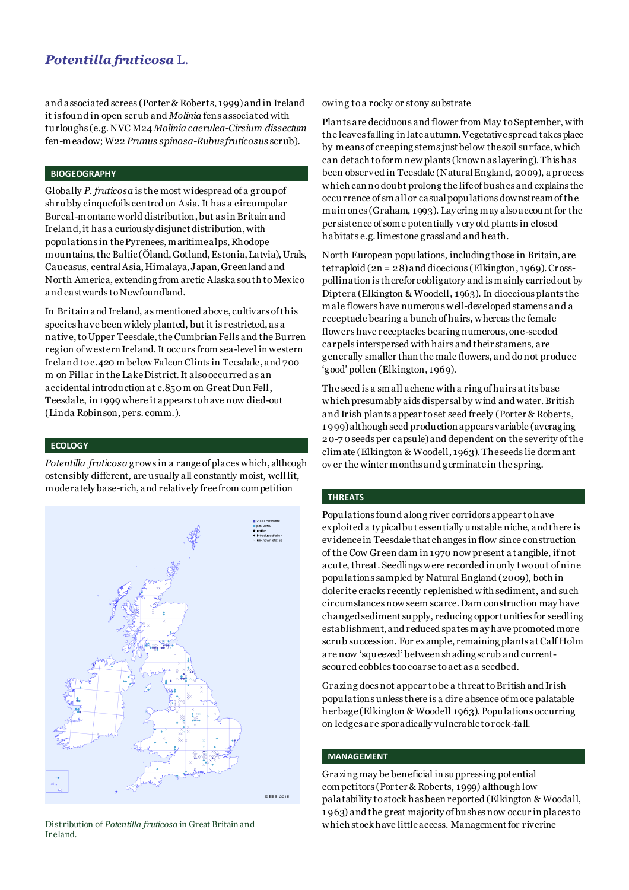### *Potentilla fruticosa* L.

and associated screes (Porter & Roberts, 1999) and in Ireland it is found in open scrub and *Molinia* fens associated with turloughs (e.g. NVC M24 *Molinia caerulea*-*Cirsium dissectum* fen-meadow; W22 *Prunus spinosa*-*Rubus fruticosus* scrub).

#### **BIOGEOGRAPHY**

Globally *P. fruticosa* is the most widespread of a group of shrubby cinquefoils centred on Asia. It has a circumpolar Boreal-montane world distribution, but as in Britain and Ireland, it has a curiously disjunct distribution, with populations in the Pyrenees, maritime alps, Rhodope mountains, the Baltic (Öland, Gotland, Estonia, Latvia), Urals, Caucasus, central Asia, Himalaya, Japan, Greenland and North America, extending from arctic Alaska south to Mexico and eastwards to Newfoundland.

In Britain and Ireland, as mentioned above, cultivars of this species have been widely planted, but it is restricted, as a native, to Upper Teesdale, the Cumbrian Fells and the Burren region of western Ireland. It occurs from sea-level in western Ireland to c.420 m below Falcon Clints in Teesdale, and 700 m on Pillar in the Lake District. It also occurred as an accidental introduction at c.850 m on Great Dun Fell, Teesdale, in 1999 where it appears to have now died-out (Linda Robinson, pers. comm.).

#### **ECOLOGY**

*Potentilla fruticosa* grows in a range of places which, although ostensibly different, are usually all constantly moist, well lit, moderately base-rich, and relatively free from competition



Ir eland.

owing to a rocky or stony substrate

Plants are deciduous and flower from May to September, with the leaves falling in late autumn. Vegetative spread takes place by means of creeping stems just below the soil surface, which can detach to form new plants (known as layering). This has been observed in Teesdale (Natural England, 2009), a process which can no doubt prolong the life of bushes and explains the occurrence of small or casual populations downstream of the main ones (Graham, 1993). Layering may also account for the persistence of some potentially very old plants in closed habitats e.g. limestone grassland and heath.

North European populations, including those in Britain, are tetraploid (2n = 28) and dioecious (Elkington, 1969). Crosspollination is therefore obligatory and is mainly carried out by Diptera (Elkington & Woodell, 1963). In dioecious plants the male flowers have numerous well-developed stamens and a receptacle bearing a bunch of hairs, whereas the female flowers have receptacles bearing numerous, one-seeded carpels interspersed with hairs and their stamens, are generally smaller than the male flowers, and do not produce 'good' pollen (Elkington, 1969).

The seed is a small achene with a ring of hairs at its base which presumably aids dispersal by wind and water. British and Irish plants appear to set seed freely (Porter & Roberts, 1 999) although seed production appears variable (averaging 20-7 0 seeds per capsule) and dependent on the severity of the climate (Elkington & Woodell, 1963). The seeds lie dormant ov er the winter months and germinate in the spring.

#### **THREATS**

Populations found along river corridors appear to have exploited a typical but essentially unstable niche, and there is ev idence in Teesdale that changes in flow since construction of the Cow Green dam in 1970 now present a tangible, if not acute, threat. Seedlings were recorded in only two out of nine populations sampled by Natural England (2009), both in dolerite cracks recently replenished with sediment, and such circumstances now seem scarce. Dam construction may have changed sediment supply, reducing opportunities for seedling establishment, and reduced spates may have promoted more scrub succession. For example, remaining plants at Calf Holm are now 'squeezed' between shading scrub and currentscoured cobbles too coarse to act as a seedbed.

Grazing does not appear to be a threat to British and Irish populations unless there is a dire absence of more palatable herbage (Elkington & Woodell 1963). Populations occurring on ledges are sporadically vulnerable to rock-fall.

#### **MANAGEMENT**

Grazing may be beneficial in suppressing potential competitors (Porter & Roberts, 1999) although low palatability to stock has been reported (Elkington & Woodall, 1 963) and the great majority of bushes now occur in places to Distribution of *Potentilla fruticosa* in Great Britain and which stock have little access. Management for riverine